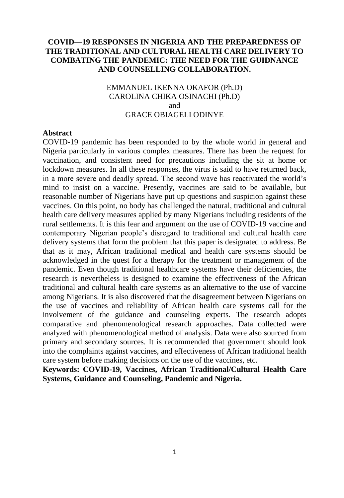# **COVID—19 RESPONSES IN NIGERIA AND THE PREPAREDNESS OF THE TRADITIONAL AND CULTURAL HEALTH CARE DELIVERY TO COMBATING THE PANDEMIC: THE NEED FOR THE GUIDNANCE AND COUNSELLING COLLABORATION.**

# EMMANUEL IKENNA OKAFOR (Ph.D) CAROLINA CHIKA OSINACHI (Ph.D) and GRACE OBIAGELI ODINYE

#### **Abstract**

COVID-19 pandemic has been responded to by the whole world in general and Nigeria particularly in various complex measures. There has been the request for vaccination, and consistent need for precautions including the sit at home or lockdown measures. In all these responses, the virus is said to have returned back, in a more severe and deadly spread. The second wave has reactivated the world's mind to insist on a vaccine. Presently, vaccines are said to be available, but reasonable number of Nigerians have put up questions and suspicion against these vaccines. On this point, no body has challenged the natural, traditional and cultural health care delivery measures applied by many Nigerians including residents of the rural settlements. It is this fear and argument on the use of COVID-19 vaccine and contemporary Nigerian people's disregard to traditional and cultural health care delivery systems that form the problem that this paper is designated to address. Be that as it may, African traditional medical and health care systems should be acknowledged in the quest for a therapy for the treatment or management of the pandemic. Even though traditional healthcare systems have their deficiencies, the research is nevertheless is designed to examine the effectiveness of the African traditional and cultural health care systems as an alternative to the use of vaccine among Nigerians. It is also discovered that the disagreement between Nigerians on the use of vaccines and reliability of African health care systems call for the involvement of the guidance and counseling experts. The research adopts comparative and phenomenological research approaches. Data collected were analyzed with phenomenological method of analysis. Data were also sourced from primary and secondary sources. It is recommended that government should look into the complaints against vaccines, and effectiveness of African traditional health care system before making decisions on the use of the vaccines, etc.

**Keywords: COVID-19, Vaccines, African Traditional/Cultural Health Care Systems, Guidance and Counseling, Pandemic and Nigeria.**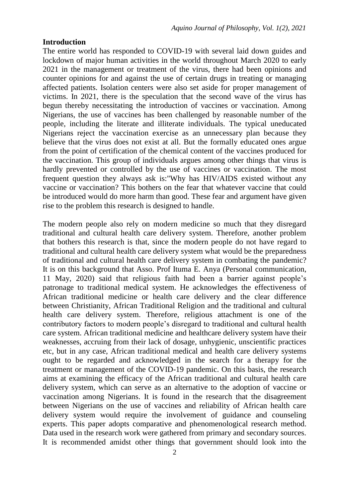#### **Introduction**

The entire world has responded to COVID-19 with several laid down guides and lockdown of major human activities in the world throughout March 2020 to early 2021 in the management or treatment of the virus, there had been opinions and counter opinions for and against the use of certain drugs in treating or managing affected patients. Isolation centers were also set aside for proper management of victims. In 2021, there is the speculation that the second wave of the virus has begun thereby necessitating the introduction of vaccines or vaccination. Among Nigerians, the use of vaccines has been challenged by reasonable number of the people, including the literate and illiterate individuals. The typical uneducated Nigerians reject the vaccination exercise as an unnecessary plan because they believe that the virus does not exist at all. But the formally educated ones argue from the point of certification of the chemical content of the vaccines produced for the vaccination. This group of individuals argues among other things that virus is hardly prevented or controlled by the use of vaccines or vaccination. The most frequent question they always ask is:"Why has HIV/AIDS existed without any vaccine or vaccination? This bothers on the fear that whatever vaccine that could be introduced would do more harm than good. These fear and argument have given rise to the problem this research is designed to handle.

The modern people also rely on modern medicine so much that they disregard traditional and cultural health care delivery system. Therefore, another problem that bothers this research is that, since the modern people do not have regard to traditional and cultural health care delivery system what would be the preparedness of traditional and cultural health care delivery system in combating the pandemic? It is on this background that Asso. Prof Ituma E. Anya (Personal communication, 11 May, 2020) said that religious faith had been a barrier against people's patronage to traditional medical system. He acknowledges the effectiveness of African traditional medicine or health care delivery and the clear difference between Christianity, African Traditional Religion and the traditional and cultural health care delivery system. Therefore, religious attachment is one of the contributory factors to modern people's disregard to traditional and cultural health care system. African traditional medicine and healthcare delivery system have their weaknesses, accruing from their lack of dosage, unhygienic, unscientific practices etc, but in any case, African traditional medical and health care delivery systems ought to be regarded and acknowledged in the search for a therapy for the treatment or management of the COVID-19 pandemic. On this basis, the research aims at examining the efficacy of the African traditional and cultural health care delivery system, which can serve as an alternative to the adoption of vaccine or vaccination among Nigerians. It is found in the research that the disagreement between Nigerians on the use of vaccines and reliability of African health care delivery system would require the involvement of guidance and counseling experts. This paper adopts comparative and phenomenological research method. Data used in the research work were gathered from primary and secondary sources. It is recommended amidst other things that government should look into the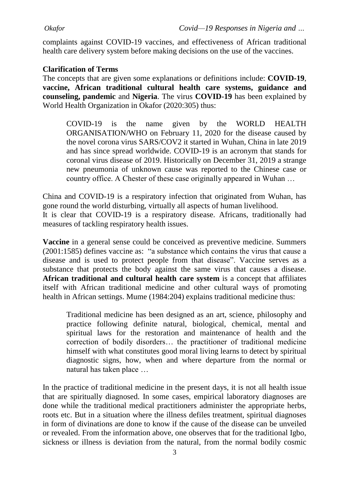complaints against COVID-19 vaccines, and effectiveness of African traditional health care delivery system before making decisions on the use of the vaccines.

## **Clarification of Terms**

The concepts that are given some explanations or definitions include: **COVID-19**, **vaccine, African traditional cultural health care systems, guidance and counseling, pandemic** and **Nigeria**. The virus **COVID-19** has been explained by World Health Organization in Okafor (2020:305) thus:

COVID-19 is the name given by the WORLD HEALTH ORGANISATION/WHO on February 11, 2020 for the disease caused by the novel corona virus SARS/COV2 it started in Wuhan, China in late 2019 and has since spread worldwide. COVID-19 is an acronym that stands for coronal virus disease of 2019. Historically on December 31, 2019 a strange new pneumonia of unknown cause was reported to the Chinese case or country office. A Chester of these case originally appeared in Wuhan …

China and COVID-19 is a respiratory infection that originated from Wuhan, has gone round the world disturbing, virtually all aspects of human livelihood. It is clear that COVID-19 is a respiratory disease. Africans, traditionally had measures of tackling respiratory health issues.

**Vaccine** in a general sense could be conceived as preventive medicine. Summers (2001:1585) defines vaccine as: "a substance which contains the virus that cause a disease and is used to protect people from that disease". Vaccine serves as a substance that protects the body against the same virus that causes a disease. **African traditional and cultural health care system** is a concept that affiliates itself with African traditional medicine and other cultural ways of promoting health in African settings. Mume (1984:204) explains traditional medicine thus:

Traditional medicine has been designed as an art, science, philosophy and practice following definite natural, biological, chemical, mental and spiritual laws for the restoration and maintenance of health and the correction of bodily disorders… the practitioner of traditional medicine himself with what constitutes good moral living learns to detect by spiritual diagnostic signs, how, when and where departure from the normal or natural has taken place …

In the practice of traditional medicine in the present days, it is not all health issue that are spiritually diagnosed. In some cases, empirical laboratory diagnoses are done while the traditional medical practitioners administer the appropriate herbs, roots etc. But in a situation where the illness defiles treatment, spiritual diagnoses in form of divinations are done to know if the cause of the disease can be unveiled or revealed. From the information above, one observes that for the traditional Igbo, sickness or illness is deviation from the natural, from the normal bodily cosmic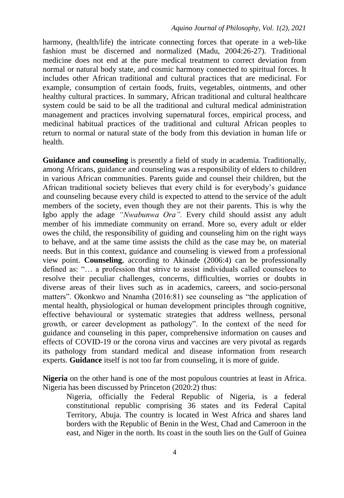harmony, (health/life) the intricate connecting forces that operate in a web-like fashion must be discerned and normalized (Madu, 2004:26-27). Traditional medicine does not end at the pure medical treatment to correct deviation from normal or natural body state, and cosmic harmony connected to spiritual forces. It includes other African traditional and cultural practices that are medicinal. For example, consumption of certain foods, fruits, vegetables, ointments, and other healthy cultural practices. In summary, African traditional and cultural healthcare system could be said to be all the traditional and cultural medical administration management and practices involving supernatural forces, empirical process, and medicinal habitual practices of the traditional and cultural African peoples to return to normal or natural state of the body from this deviation in human life or health.

**Guidance and counseling** is presently a field of study in academia. Traditionally, among Africans, guidance and counseling was a responsibility of elders to children in various African communities. Parents guide and counsel their children, but the African traditional society believes that every child is for everybody's guidance and counseling because every child is expected to attend to the service of the adult members of the society, even though they are not their parents. This is why the Igbo apply the adage *"Nwabunwa Ora".* Every child should assist any adult member of his immediate community on errand. More so, every adult or elder owes the child, the responsibility of guiding and counseling him on the right ways to behave, and at the same time assists the child as the case may be, on material needs. But in this context, guidance and counseling is viewed from a professional view point. **Counseling**, according to Akinade (2006:4) can be professionally defined as: "… a profession that strive to assist individuals called counselees to resolve their peculiar challenges, concerns, difficulties, worries or doubts in diverse areas of their lives such as in academics, careers, and socio-personal matters". Okonkwo and Nnamha (2016:81) see counseling as "the application of mental health, physiological or human development principles through cognitive, effective behavioural or systematic strategies that address wellness, personal growth, or career development as pathology". In the context of the need for guidance and counseling in this paper, comprehensive information on causes and effects of COVID-19 or the corona virus and vaccines are very pivotal as regards its pathology from standard medical and disease information from research experts. **Guidance** itself is not too far from counseling, it is more of guide.

**Nigeria** on the other hand is one of the most populous countries at least in Africa. Nigeria has been discussed by Princeton (2020:2) thus:

Nigeria, officially the Federal Republic of Nigeria, is a federal constitutional republic comprising 36 states and its Federal Capital Territory, Abuja. The country is located in West Africa and shares land borders with the Republic of Benin in the West, Chad and Cameroon in the east, and Niger in the north. Its coast in the south lies on the Gulf of Guinea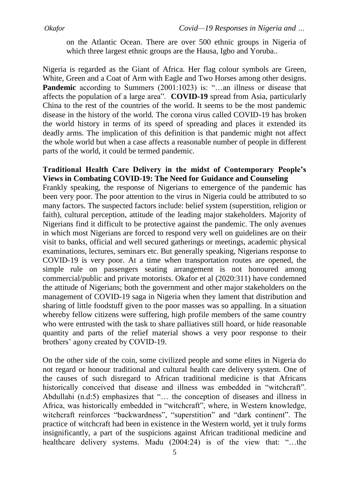on the Atlantic Ocean. There are over 500 ethnic groups in Nigeria of which three largest ethnic groups are the Hausa, Igbo and Yoruba..

Nigeria is regarded as the Giant of Africa. Her flag colour symbols are Green, White, Green and a Coat of Arm with Eagle and Two Horses among other designs. **Pandemic** according to Summers (2001:1023) is: "...an illness or disease that affects the population of a large area". **COVID-19** spread from Asia, particularly China to the rest of the countries of the world. It seems to be the most pandemic disease in the history of the world. The corona virus called COVID-19 has broken the world history in terms of its speed of spreading and places it extended its deadly arms. The implication of this definition is that pandemic might not affect the whole world but when a case affects a reasonable number of people in different parts of the world, it could be termed pandemic.

## **Traditional Health Care Delivery in the midst of Contemporary People's Views in Combating COVID-19: The Need for Guidance and Counseling**

Frankly speaking, the response of Nigerians to emergence of the pandemic has been very poor. The poor attention to the virus in Nigeria could be attributed to so many factors. The suspected factors include: belief system (superstition, religion or faith), cultural perception, attitude of the leading major stakeholders. Majority of Nigerians find it difficult to be protective against the pandemic. The only avenues in which most Nigerians are forced to respond very well on guidelines are on their visit to banks, official and well secured gatherings or meetings, academic physical examinations, lectures, seminars etc. But generally speaking, Nigerians response to COVID-19 is very poor. At a time when transportation routes are opened, the simple rule on passengers seating arrangement is not honoured among commercial/public and private motorists. Okafor et al (2020:311) have condemned the attitude of Nigerians; both the government and other major stakeholders on the management of COVID-19 saga in Nigeria when they lament that distribution and sharing of little foodstuff given to the poor masses was so appalling. In a situation whereby fellow citizens were suffering, high profile members of the same country who were entrusted with the task to share palliatives still hoard, or hide reasonable quantity and parts of the relief material shows a very poor response to their brothers' agony created by COVID-19.

On the other side of the coin, some civilized people and some elites in Nigeria do not regard or honour traditional and cultural health care delivery system. One of the causes of such disregard to African traditional medicine is that Africans historically conceived that disease and illness was embedded in "witchcraft". Abdullahi (n.d:5) emphasizes that "… the conception of diseases and illness in Africa, was historically embedded in "witchcraft", where, in Western knowledge, witchcraft reinforces "backwardness", "superstition" and "dark continent". The practice of witchcraft had been in existence in the Western world, yet it truly forms insignificantly, a part of the suspicions against African traditional medicine and healthcare delivery systems. Madu (2004:24) is of the view that: "...the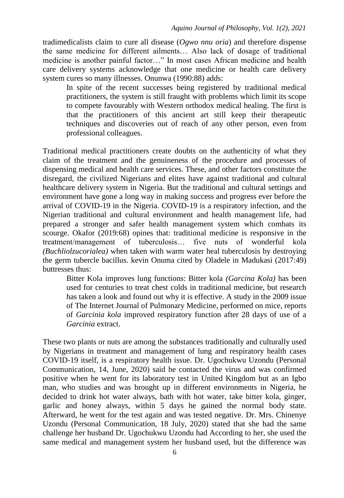tradimedicalists claim to cure all disease (*Ogwo nnu oria*) and therefore dispense the same medicine for different ailments… Also lack of dosage of traditional medicine is another painful factor…" In most cases African medicine and health care delivery systems acknowledge that one medicine or health care delivery system cures so many illnesses. Onunwa (1990:88) adds:

In spite of the recent successes being registered by traditional medical practitioners, the system is still fraught with problems which limit its scope to compete favourably with Western orthodox medical healing. The first is that the practitioners of this ancient art still keep their therapeutic techniques and discoveries out of reach of any other person, even from professional colleagues.

Traditional medical practitioners create doubts on the authenticity of what they claim of the treatment and the genuineness of the procedure and processes of dispensing medical and health care services. These, and other factors constitute the disregard, the civilized Nigerians and elites have against traditional and cultural healthcare delivery system in Nigeria. But the traditional and cultural settings and environment have gone a long way in making success and progress ever before the arrival of COVID-19 in the Nigeria. COVID-19 is a respiratory infection, and the Nigerian traditional and cultural environment and health management life, had prepared a stronger and safer health management system which combats its scourge. Okafor (2019:68) opines that: traditional medicine is responsive in the treatment/management of tuberculosis… five nuts of wonderful kola *(Buchliolzucorialea)* when taken with warm water heal tuberculosis by destroying the germ tubercle bacillus. kevin Onuma cited by Oladele in Madukasi (2017:49) buttresses thus:

Bitter Kola improves lung functions: Bitter kola *(Garcina Kola)* has been used for centuries to treat chest colds in traditional medicine, but research has taken a look and found out why it is effective. A study in the 2009 issue of The Internet Journal of Pulmonary Medicine, performed on mice, reports of *Garcinia kola* improved respiratory function after 28 days of use of a *Garcinia* extract.

These two plants or nuts are among the substances traditionally and culturally used by Nigerians in treatment and management of lung and respiratory health cases COVID-19 itself, is a respiratory health issue. Dr. Ugochukwu Uzondu (Personal Communication, 14, June, 2020) said he contacted the virus and was confirmed positive when he went for its laboratory test in United Kingdom but as an Igbo man, who studies and was brought up in different environments in Nigeria, he decided to drink hot water always, bath with hot water, take bitter kola, ginger, garlic and honey always, within 5 days he gained the normal body state. Afterward, he went for the test again and was tested negative. Dr. Mrs. Chinenye Uzondu (Personal Communication, 18 July, 2020) stated that she had the same challenge her husband Dr. Ugochukwu Uzondu had According to her, she used the same medical and management system her husband used, but the difference was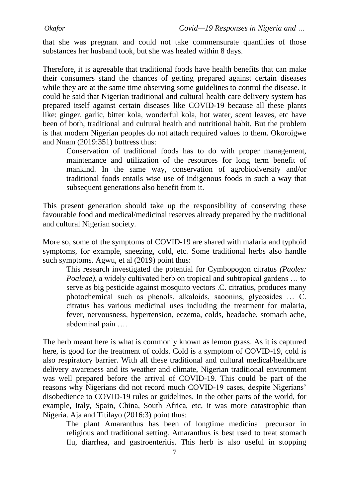that she was pregnant and could not take commensurate quantities of those substances her husband took, but she was healed within 8 days.

Therefore, it is agreeable that traditional foods have health benefits that can make their consumers stand the chances of getting prepared against certain diseases while they are at the same time observing some guidelines to control the disease. It could be said that Nigerian traditional and cultural health care delivery system has prepared itself against certain diseases like COVID-19 because all these plants like: ginger, garlic, bitter kola, wonderful kola, hot water, scent leaves, etc have been of both, traditional and cultural health and nutritional habit. But the problem is that modern Nigerian peoples do not attach required values to them. Okoroigwe and Nnam (2019:351) buttress thus:

Conservation of traditional foods has to do with proper management, maintenance and utilization of the resources for long term benefit of mankind. In the same way, conservation of agrobiodversity and/or traditional foods entails wise use of indigenous foods in such a way that subsequent generations also benefit from it.

This present generation should take up the responsibility of conserving these favourable food and medical/medicinal reserves already prepared by the traditional and cultural Nigerian society.

More so, some of the symptoms of COVID-19 are shared with malaria and typhoid symptoms, for example, sneezing, cold, etc. Some traditional herbs also handle such symptoms. Agwu, et al (2019) point thus:

This research investigated the potential for Cymbopogon citratus *(Paoles: Poaleae)*, a widely cultivated herb on tropical and subtropical gardens … to serve as big pesticide against mosquito vectors .C. citratius, produces many photochemical such as phenols, alkaloids, saoonins, glycosides … C. citratus has various medicinal uses including the treatment for malaria, fever, nervousness, hypertension, eczema, colds, headache, stomach ache, abdominal pain ….

The herb meant here is what is commonly known as lemon grass. As it is captured here, is good for the treatment of colds. Cold is a symptom of COVID-19, cold is also respiratory barrier. With all these traditional and cultural medical/healthcare delivery awareness and its weather and climate, Nigerian traditional environment was well prepared before the arrival of COVID-19. This could be part of the reasons why Nigerians did not record much COVID-19 cases, despite Nigerians' disobedience to COVID-19 rules or guidelines. In the other parts of the world, for example, Italy, Spain, China, South Africa, etc, it was more catastrophic than Nigeria. Aja and Titilayo (2016:3) point thus:

The plant Amaranthus has been of longtime medicinal precursor in religious and traditional setting. Amaranthus is best used to treat stomach flu, diarrhea, and gastroenteritis. This herb is also useful in stopping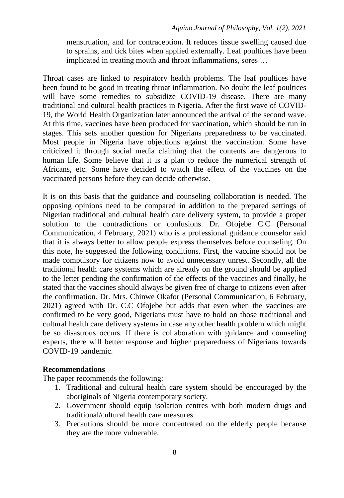menstruation, and for contraception. It reduces tissue swelling caused due to sprains, and tick bites when applied externally. Leaf poultices have been implicated in treating mouth and throat inflammations, sores …

Throat cases are linked to respiratory health problems. The leaf poultices have been found to be good in treating throat inflammation. No doubt the leaf poultices will have some remedies to subsidize COVID-19 disease. There are many traditional and cultural health practices in Nigeria. After the first wave of COVID-19, the World Health Organization later announced the arrival of the second wave. At this time, vaccines have been produced for vaccination, which should be run in stages. This sets another question for Nigerians preparedness to be vaccinated. Most people in Nigeria have objections against the vaccination. Some have criticized it through social media claiming that the contents are dangerous to human life. Some believe that it is a plan to reduce the numerical strength of Africans, etc. Some have decided to watch the effect of the vaccines on the vaccinated persons before they can decide otherwise.

It is on this basis that the guidance and counseling collaboration is needed. The opposing opinions need to be compared in addition to the prepared settings of Nigerian traditional and cultural health care delivery system, to provide a proper solution to the contradictions or confusions. Dr. Ofojebe C.C (Personal Communication, 4 February, 2021) who is a professional guidance counselor said that it is always better to allow people express themselves before counseling. On this note, he suggested the following conditions. First, the vaccine should not be made compulsory for citizens now to avoid unnecessary unrest. Secondly, all the traditional health care systems which are already on the ground should be applied to the letter pending the confirmation of the effects of the vaccines and finally, he stated that the vaccines should always be given free of charge to citizens even after the confirmation. Dr. Mrs. Chinwe Okafor (Personal Communication, 6 February, 2021) agreed with Dr. C.C Ofojebe but adds that even when the vaccines are confirmed to be very good, Nigerians must have to hold on those traditional and cultural health care delivery systems in case any other health problem which might be so disastrous occurs. If there is collaboration with guidance and counseling experts, there will better response and higher preparedness of Nigerians towards COVID-19 pandemic.

### **Recommendations**

The paper recommends the following:

- 1. Traditional and cultural health care system should be encouraged by the aboriginals of Nigeria contemporary society.
- 2. Government should equip isolation centres with both modern drugs and traditional/cultural health care measures.
- 3. Precautions should be more concentrated on the elderly people because they are the more vulnerable.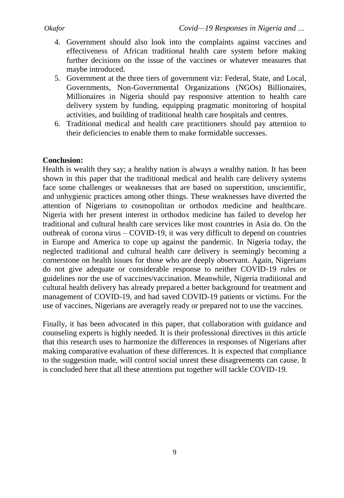- 4. Government should also look into the complaints against vaccines and effectiveness of African traditional health care system before making further decisions on the issue of the vaccines or whatever measures that maybe introduced.
- 5. Government at the three tiers of government viz: Federal, State, and Local, Governments, Non-Governmental Organizations (NGOs) Billionaires, Millionaires in Nigeria should pay responsive attention to health care delivery system by funding, equipping pragmatic monitoring of hospital activities, and building of traditional health care hospitals and centres.
- 6. Traditional medical and health care practitioners should pay attention to their deficiencies to enable them to make formidable successes.

# **Conclusion:**

Health is wealth they say; a healthy nation is always a wealthy nation. It has been shown in this paper that the traditional medical and health care delivery systems face some challenges or weaknesses that are based on superstition, unscientific, and unhygienic practices among other things. These weaknesses have diverted the attention of Nigerians to cosmopolitan or orthodox medicine and healthcare. Nigeria with her present interest in orthodox medicine has failed to develop her traditional and cultural health care services like most countries in Asia do. On the outbreak of corona virus – COVID-19, it was very difficult to depend on countries in Europe and America to cope up against the pandemic. In Nigeria today, the neglected traditional and cultural health care delivery is seemingly becoming a cornerstone on health issues for those who are deeply observant. Again, Nigerians do not give adequate or considerable response to neither COVID-19 rules or guidelines nor the use of vaccines/vaccination. Meanwhile, Nigeria traditional and cultural health delivery has already prepared a better background for treatment and management of COVID-19, and had saved COVID-19 patients or victims. For the use of vaccines, Nigerians are averagely ready or prepared not to use the vaccines.

Finally, it has been advocated in this paper, that collaboration with guidance and counseling experts is highly needed. It is their professional directives in this article that this research uses to harmonize the differences in responses of Nigerians after making comparative evaluation of these differences. It is expected that compliance to the suggestion made, will control social unrest these disagreements can cause. It is concluded here that all these attentions put together will tackle COVID-19.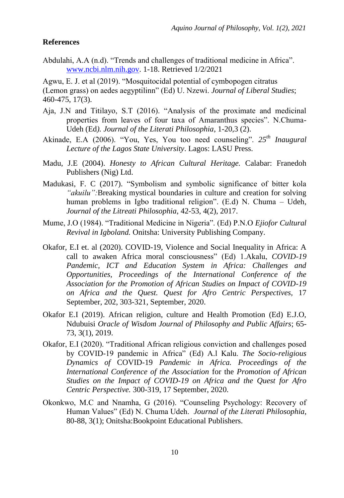# **References**

Abdulahi, A.A (n.d). "Trends and challenges of traditional medicine in Africa". [www.ncbi.nlm.nih.gov.](http://www.ncbi.nlm.nih.gov/) 1-18. Retrieved 1/2/2021

Agwu, E. J. et al (2019). "Mosquitocidal potential of cymbopogen citratus (Lemon grass) on aedes aegyptilinn" (Ed) U. Nzewi. *Journal of Liberal Studies*; 460-475, 17(3).

- Aja, J.N and Titilayo, S.T (2016). "Analysis of the proximate and medicinal properties from leaves of four taxa of Amaranthus species". N.Chuma-Udeh (Ed*). Journal of the Literati Philosophia*, 1-20,3 (2).
- Akinade, E.A (2006). "You, Yes, You too need counseling". *25th Inaugural Lecture of the Lagos State University*. Lagos: LASU Press.
- Madu, J.E (2004). *Honesty to African Cultural Heritage.* Calabar: Franedoh Publishers (Nig) Ltd.
- Madukasi, F. C (2017). "Symbolism and symbolic significance of bitter kola *"akuilu":*Breaking mystical boundaries in culture and creation for solving human problems in Igbo traditional religion". (E.d) N. Chuma – Udeh, *Journal of the Litreati Philosophia*, 42-53, 4(2), 2017.
- Mume, J.O (1984). "Traditional Medicine in Nigeria". (Ed) P.N.O *Ejiofor Cultural Revival in Igboland.* Onitsha: University Publishing Company.
- Okafor, E.I et. al (2020). COVID-19, Violence and Social Inequality in Africa: A call to awaken Africa moral consciousness" (Ed) 1.Akalu, *COVID-19 Pandemic, ICT and Education System in Africa: Challenges and Opportunities, Proceedings of the International Conference of the Association for the Promotion of African Studies on Impact of COVID-19 on Africa and the Quest. Quest for Afro Centric Perspectives,* 17 September, 202, 303-321, September, 2020.
- Okafor E.I (2019). African religion, culture and Health Promotion (Ed) E.J.O, Ndubuisi *Oracle of Wisdom Journal of Philosophy and Public Affairs*; 65- 73, 3(1), 2019.
- Okafor, E.I (2020). "Traditional African religious conviction and challenges posed by COVID-19 pandemic in Africa" (Ed) A.l Kalu. *The Socio-religious Dynamics of* COVID-19 *Pandemic in Africa. Proceedings of the International Conference of the Association* for the *Promotion of African Studies on the Impact of COVID-19 on Africa and the Quest for Afro Centric Perspective.* 300-319, 17 September, 2020.
- Okonkwo, M.C and Nnamha, G (2016). "Counseling Psychology: Recovery of Human Values" (Ed) N. Chuma Udeh. *Journal of the Literati Philosophia*, 80-88, 3(1); Onitsha:Bookpoint Educational Publishers.